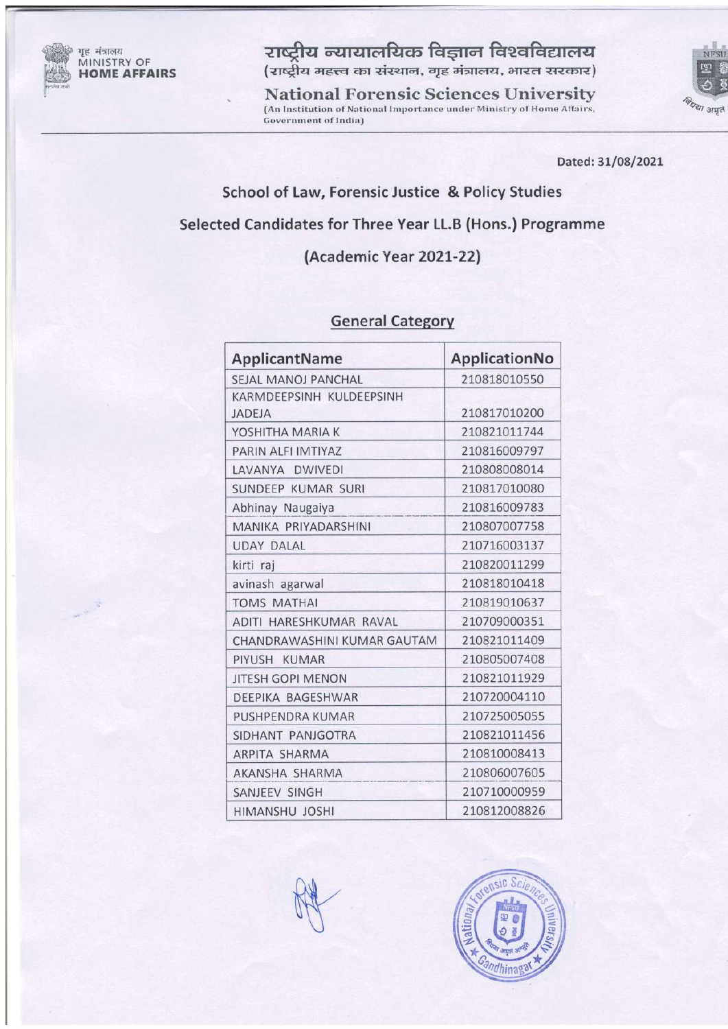

गृह मंत्रालय MINISTRY OF **HOME AFFAIRS**  राष्ट्रीय न्यायालयिक विज्ञान विश्वविद्यालय (राष्ट्रीय महत्त्व का संस्थान, गृह मंत्रालय, भारत सरकार)

**National Forensic Sciences University** (An Institution of National Importance under Ministry of Home Affairs, **Government of India)** 



Dated: 31/08/2021

### School of Law, Forensic Justice & Policy Studies

# Selected Candidates for Three Year LL.B (Hons.) Programme

# (Academic Year 2021-22)

#### **General Category**

| ApplicantName               | ApplicationNo |
|-----------------------------|---------------|
| SEJAL MANOJ PANCHAL         | 210818010550  |
| KARMDEEPSINH KULDEEPSINH    |               |
| <b>JADEJA</b>               | 210817010200  |
| YOSHITHA MARIA K            | 210821011744  |
| PARIN ALFI IMTIYAZ          | 210816009797  |
| LAVANYA DWIVEDI             | 210808008014  |
| SUNDEEP KUMAR SURI          | 210817010080  |
| Abhinay Naugaiya            | 210816009783  |
| MANIKA PRIYADARSHINI        | 210807007758  |
| <b>UDAY DALAL</b>           | 210716003137  |
| kirti raj                   | 210820011299  |
| avinash agarwal             | 210818010418  |
| <b>TOMS MATHAI</b>          | 210819010637  |
| ADITI HARESHKUMAR RAVAL     | 210709000351  |
| CHANDRAWASHINI KUMAR GAUTAM | 210821011409  |
| PIYUSH KUMAR                | 210805007408  |
| <b>JITESH GOPI MENON</b>    | 210821011929  |
| DEEPIKA BAGESHWAR           | 210720004110  |
| PUSHPENDRA KUMAR            | 210725005055  |
| SIDHANT PANJGOTRA           | 210821011456  |
| <b>ARPITA SHARMA</b>        | 210810008413  |
| AKANSHA SHARMA              | 210806007605  |
| SANJEEV SINGH               | 210710000959  |
| <b>HIMANSHU JOSHI</b>       | 210812008826  |